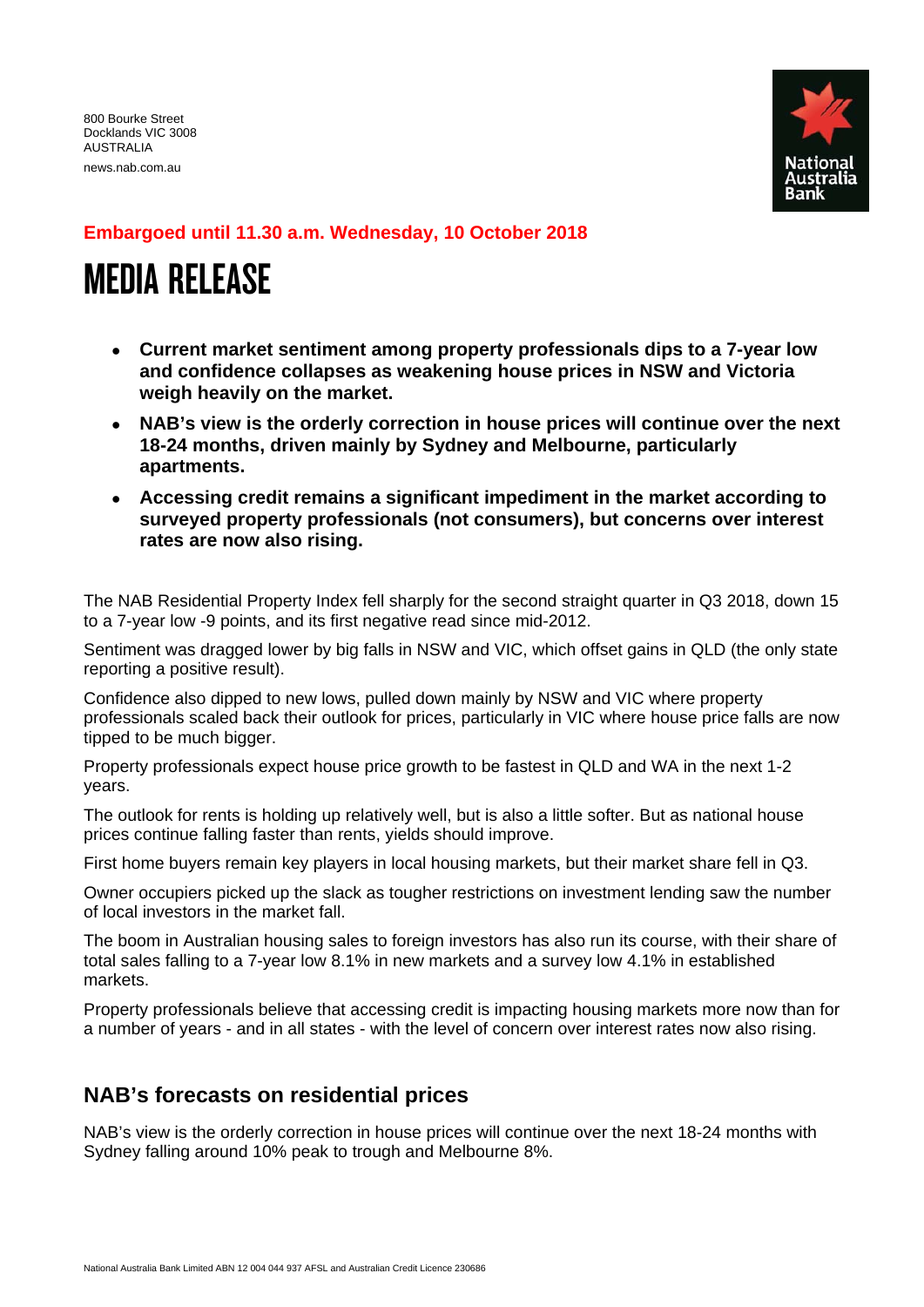news.nab.com.au



### **Embargoed until 11.30 a.m. Wednesday, 10 October 2018**

# MEDIA RELEASE

- **Current market sentiment among property professionals dips to a 7-year low and confidence collapses as weakening house prices in NSW and Victoria weigh heavily on the market.**
- **NAB's view is the orderly correction in house prices will continue over the next 18-24 months, driven mainly by Sydney and Melbourne, particularly apartments.**
- **Accessing credit remains a significant impediment in the market according to surveyed property professionals (not consumers), but concerns over interest rates are now also rising.**

The NAB Residential Property Index fell sharply for the second straight quarter in Q3 2018, down 15 to a 7-year low -9 points, and its first negative read since mid-2012.

Sentiment was dragged lower by big falls in NSW and VIC, which offset gains in QLD (the only state reporting a positive result).

Confidence also dipped to new lows, pulled down mainly by NSW and VIC where property professionals scaled back their outlook for prices, particularly in VIC where house price falls are now tipped to be much bigger.

Property professionals expect house price growth to be fastest in QLD and WA in the next 1-2 years.

The outlook for rents is holding up relatively well, but is also a little softer. But as national house prices continue falling faster than rents, yields should improve.

First home buyers remain key players in local housing markets, but their market share fell in Q3.

Owner occupiers picked up the slack as tougher restrictions on investment lending saw the number of local investors in the market fall.

The boom in Australian housing sales to foreign investors has also run its course, with their share of total sales falling to a 7-year low 8.1% in new markets and a survey low 4.1% in established markets.

Property professionals believe that accessing credit is impacting housing markets more now than for a number of years - and in all states - with the level of concern over interest rates now also rising.

## **NAB's forecasts on residential prices**

NAB's view is the orderly correction in house prices will continue over the next 18-24 months with Sydney falling around 10% peak to trough and Melbourne 8%.